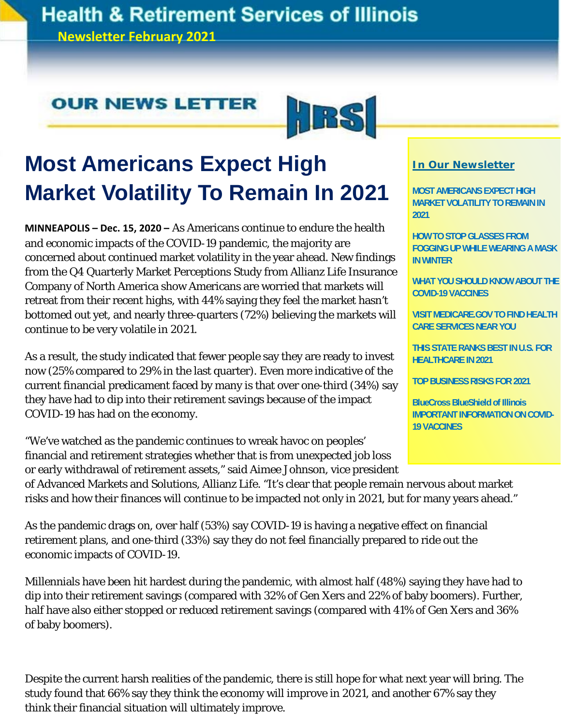### **Health & Retirement Services of Illinois**

**Newsletter February 2021**

### **OUR NEWS LETTER**



# **Most Americans Expect High Market Volatility To Remain In 2021**

**MINNEAPOLIS – Dec. 15, 2020 –** As Americans continue to endure the health and economic impacts of the COVID-19 pandemic, the majority are concerned about continued market volatility in the year ahead. New findings from the Q4 Quarterly Market Perceptions Study from Allianz Life Insurance Company of North America show Americans are worried that markets will retreat from their recent highs, with 44% saying they feel the market hasn't bottomed out yet, and nearly three-quarters (72%) believing the markets will continue to be very volatile in 2021.

As a result, the study indicated that fewer people say they are ready to invest now (25% compared to 29% in the last quarter). Even more indicative of the current financial predicament faced by many is that over one-third (34%) say they have had to dip into their retirement savings because of the impact COVID-19 has had on the economy.

"We've watched as the pandemic continues to wreak havoc on peoples' financial and retirement strategies whether that is from unexpected job loss or early withdrawal of retirement assets," said Aimee Johnson, vice president

#### **In Our Newsletter**

**MOST AMERICANS EXPECT HIGH MARKET VOLATILITY TO REMAIN IN 2021** 

**HOW TO STOP GLASSES FROM FOGGING UP WHILE WEARING A MASK IN WINTER** 

**WHAT YOU SHOULD KNOW ABOUT THE COVID-19 VACCINES** 

**VISIT MEDICARE.GOV TO FIND HEALTH CARE SERVICES NEAR YOU** 

**THIS STATE RANKS BEST IN U.S. FOR HEALTHCARE IN 2021** 

**TOP BUSINESS RISKS FOR 2021** 

**BlueCross BlueShield of Illinois IMPORTANT INFORMATION ON COVID-19 VACCINES**

of Advanced Markets and Solutions, Allianz Life. "It's clear that people remain nervous about market risks and how their finances will continue to be impacted not only in 2021, but for many years ahead."

As the pandemic drags on, over half (53%) say COVID-19 is having a negative effect on financial retirement plans, and one-third (33%) say they do not feel financially prepared to ride out the economic impacts of COVID-19.

Millennials have been hit hardest during the pandemic, with almost half (48%) saying they have had to dip into their retirement savings (compared with 32% of Gen Xers and 22% of baby boomers). Further, half have also either stopped or reduced retirement savings (compared with 41% of Gen Xers and 36% of baby boomers).

Despite the current harsh realities of the pandemic, there is still hope for what next year will bring. The study found that 66% say they think the economy will improve in 2021, and another 67% say they think their financial situation will ultimately improve.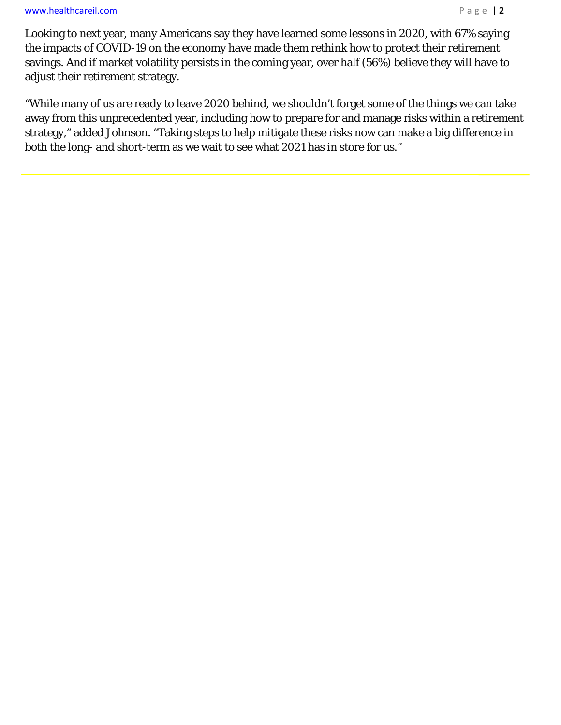#### www.healthcareil.com **Page | 2**

 $\overline{a}$ 

Looking to next year, many Americans say they have learned some lessons in 2020, with 67% saying the impacts of COVID-19 on the economy have made them rethink how to protect their retirement savings. And if market volatility persists in the coming year, over half (56%) believe they will have to adjust their retirement strategy.

"While many of us are ready to leave 2020 behind, we shouldn't forget some of the things we can take away from this unprecedented year, including how to prepare for and manage risks within a retirement strategy," added Johnson. "Taking steps to help mitigate these risks now can make a big difference in both the long- and short-term as we wait to see what 2021 has in store for us."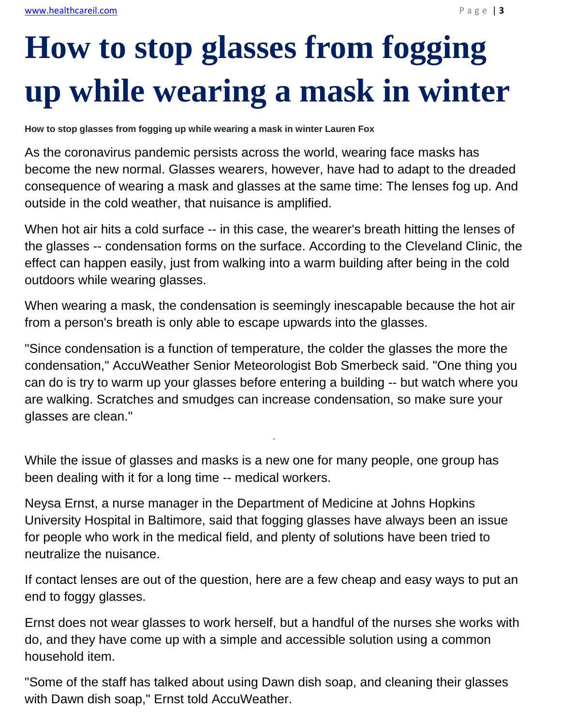# **How to stop glasses from fogging up while wearing a mask in winter**

**How to stop glasses from fogging up while wearing a mask in winter Lauren Fox** 

As the coronavirus pandemic persists across the world, wearing face masks has become the new normal. Glasses wearers, however, have had to adapt to the dreaded consequence of wearing a mask and glasses at the same time: The lenses fog up. And outside in the cold weather, that nuisance is amplified.

When hot air hits a cold surface -- in this case, the wearer's breath hitting the lenses of the glasses -- condensation forms on the surface. According to the Cleveland Clinic, the effect can happen easily, just from walking into a warm building after being in the cold outdoors while wearing glasses.

When wearing a mask, the condensation is seemingly inescapable because the hot air from a person's breath is only able to escape upwards into the glasses.

"Since condensation is a function of temperature, the colder the glasses the more the condensation," AccuWeather Senior Meteorologist Bob Smerbeck said. "One thing you can do is try to warm up your glasses before entering a building -- but watch where you are walking. Scratches and smudges can increase condensation, so make sure your glasses are clean."

-

While the issue of glasses and masks is a new one for many people, one group has been dealing with it for a long time -- medical workers.

Neysa Ernst, a nurse manager in the Department of Medicine at Johns Hopkins University Hospital in Baltimore, said that fogging glasses have always been an issue for people who work in the medical field, and plenty of solutions have been tried to neutralize the nuisance.

If contact lenses are out of the question, here are a few cheap and easy ways to put an end to foggy glasses.

Ernst does not wear glasses to work herself, but a handful of the nurses she works with do, and they have come up with a simple and accessible solution using a common household item.

"Some of the staff has talked about using Dawn dish soap, and cleaning their glasses with Dawn dish soap," Ernst told AccuWeather.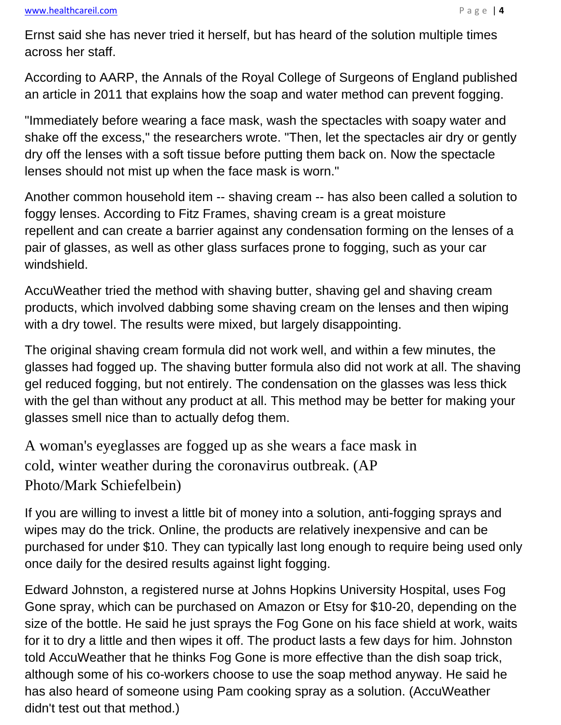#### www.healthcareil.com **Page | 4**

Ernst said she has never tried it herself, but has heard of the solution multiple times across her staff.

According to AARP, the Annals of the Royal College of Surgeons of England published an article in 2011 that explains how the soap and water method can prevent fogging.

"Immediately before wearing a face mask, wash the spectacles with soapy water and shake off the excess," the researchers wrote. "Then, let the spectacles air dry or gently dry off the lenses with a soft tissue before putting them back on. Now the spectacle lenses should not mist up when the face mask is worn."

Another common household item -- shaving cream -- has also been called a solution to foggy lenses. According to Fitz Frames, shaving cream is a great moisture repellent and can create a barrier against any condensation forming on the lenses of a pair of glasses, as well as other glass surfaces prone to fogging, such as your car windshield.

AccuWeather tried the method with shaving butter, shaving gel and shaving cream products, which involved dabbing some shaving cream on the lenses and then wiping with a dry towel. The results were mixed, but largely disappointing.

The original shaving cream formula did not work well, and within a few minutes, the glasses had fogged up. The shaving butter formula also did not work at all. The shaving gel reduced fogging, but not entirely. The condensation on the glasses was less thick with the gel than without any product at all. This method may be better for making your glasses smell nice than to actually defog them.

A woman's eyeglasses are fogged up as she wears a face mask in cold, winter weather during the coronavirus outbreak. (AP Photo/Mark Schiefelbein)

If you are willing to invest a little bit of money into a solution, anti-fogging sprays and wipes may do the trick. Online, the products are relatively inexpensive and can be purchased for under \$10. They can typically last long enough to require being used only once daily for the desired results against light fogging.

Edward Johnston, a registered nurse at Johns Hopkins University Hospital, uses Fog Gone spray, which can be purchased on Amazon or Etsy for \$10-20, depending on the size of the bottle. He said he just sprays the Fog Gone on his face shield at work, waits for it to dry a little and then wipes it off. The product lasts a few days for him. Johnston told AccuWeather that he thinks Fog Gone is more effective than the dish soap trick, although some of his co-workers choose to use the soap method anyway. He said he has also heard of someone using Pam cooking spray as a solution. (AccuWeather didn't test out that method.)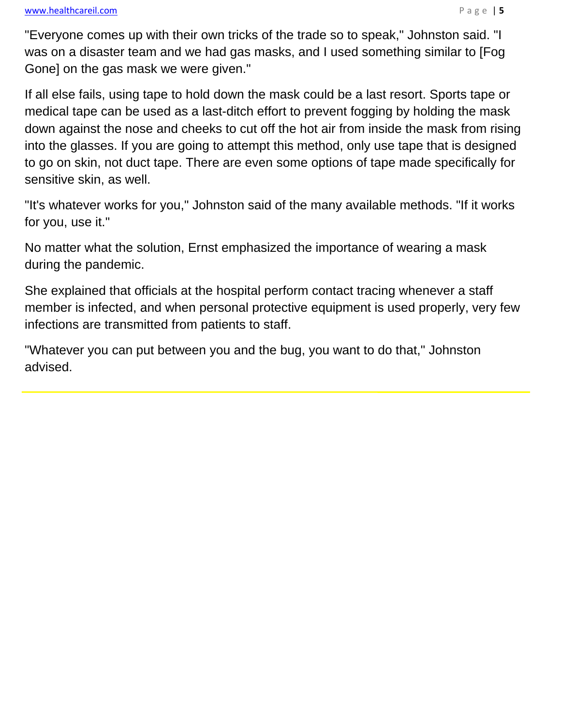#### www.healthcareil.com **Department of the COVID-10** and Department of the Page | 5

i<br>I

"Everyone comes up with their own tricks of the trade so to speak," Johnston said. "I was on a disaster team and we had gas masks, and I used something similar to [Fog Gone] on the gas mask we were given."

If all else fails, using tape to hold down the mask could be a last resort. Sports tape or medical tape can be used as a last-ditch effort to prevent fogging by holding the mask down against the nose and cheeks to cut off the hot air from inside the mask from rising into the glasses. If you are going to attempt this method, only use tape that is designed to go on skin, not duct tape. There are even some options of tape made specifically for sensitive skin, as well.

"It's whatever works for you," Johnston said of the many available methods. "If it works for you, use it."

No matter what the solution, Ernst emphasized the importance of wearing a mask during the pandemic.

She explained that officials at the hospital perform contact tracing whenever a staff member is infected, and when personal protective equipment is used properly, very few infections are transmitted from patients to staff.

"Whatever you can put between you and the bug, you want to do that," Johnston advised.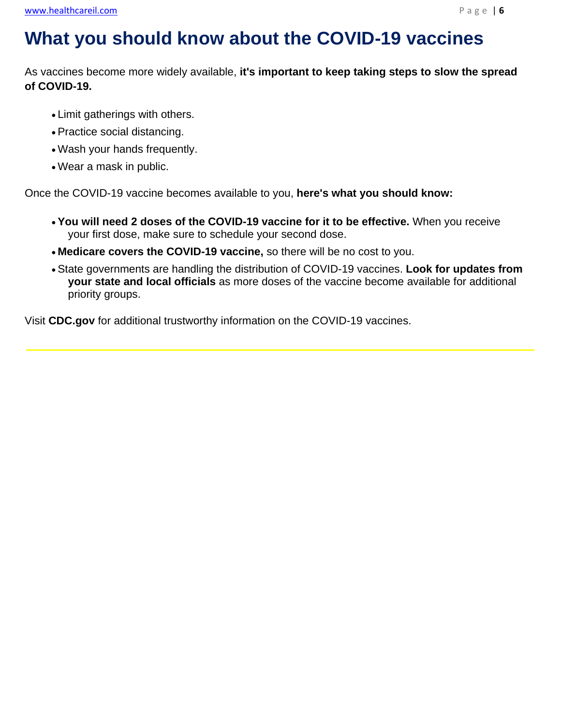j

### **What you should know about the COVID-19 vaccines**

As vaccines become more widely available, **it's important to keep taking steps to slow the spread of COVID-19.**

- Limit gatherings with others.
- Practice social distancing.
- Wash your hands frequently.
- Wear a mask in public.

Once the COVID-19 vaccine becomes available to you, **here's what you should know:**

- **You will need 2 doses of the COVID-19 vaccine for it to be effective.** When you receive your first dose, make sure to schedule your second dose.
- **Medicare covers the COVID-19 vaccine,** so there will be no cost to you.
- State governments are handling the distribution of COVID-19 vaccines. **Look for updates from your state and local officials** as more doses of the vaccine become available for additional priority groups.

Visit **CDC.gov** for additional trustworthy information on the COVID-19 vaccines.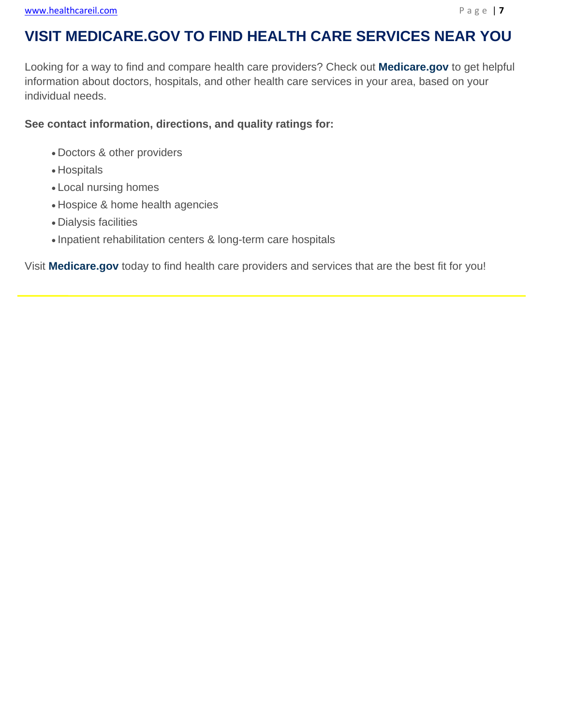### **VISIT MEDICARE.GOV TO FIND HEALTH CARE SERVICES NEAR YOU**

Looking for a way to find and compare health care providers? Check out **Medicare.gov** to get helpful information about doctors, hospitals, and other health care services in your area, based on your individual needs.

**See contact information, directions, and quality ratings for:**

- Doctors & other providers
- Hospitals

 $\overline{a}$ 

- Local nursing homes
- Hospice & home health agencies
- Dialysis facilities
- Inpatient rehabilitation centers & long-term care hospitals

Visit **Medicare.gov** today to find health care providers and services that are the best fit for you!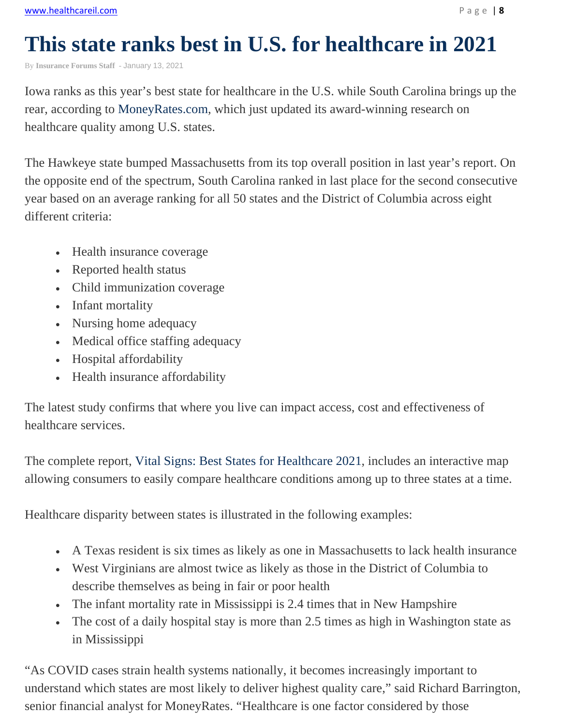## **This state ranks best in U.S. for healthcare in 2021**

By **Insurance Forums Staff** - January 13, 2021

Iowa ranks as this year's best state for healthcare in the U.S. while South Carolina brings up the rear, according to MoneyRates.com, which just updated its award-winning research on healthcare quality among U.S. states.

The Hawkeye state bumped Massachusetts from its top overall position in last year's report. On the opposite end of the spectrum, South Carolina ranked in last place for the second consecutive year based on an average ranking for all 50 states and the District of Columbia across eight different criteria:

- Health insurance coverage
- Reported health status
- Child immunization coverage
- Infant mortality
- Nursing home adequacy
- Medical office staffing adequacy
- Hospital affordability
- Health insurance affordability

The latest study confirms that where you live can impact access, cost and effectiveness of healthcare services.

The complete report, Vital Signs: Best States for Healthcare 2021, includes an interactive map allowing consumers to easily compare healthcare conditions among up to three states at a time.

Healthcare disparity between states is illustrated in the following examples:

- A Texas resident is six times as likely as one in Massachusetts to lack health insurance
- West Virginians are almost twice as likely as those in the District of Columbia to describe themselves as being in fair or poor health
- The infant mortality rate in Mississippi is 2.4 times that in New Hampshire
- The cost of a daily hospital stay is more than 2.5 times as high in Washington state as in Mississippi

"As COVID cases strain health systems nationally, it becomes increasingly important to understand which states are most likely to deliver highest quality care," said Richard Barrington, senior financial analyst for MoneyRates. "Healthcare is one factor considered by those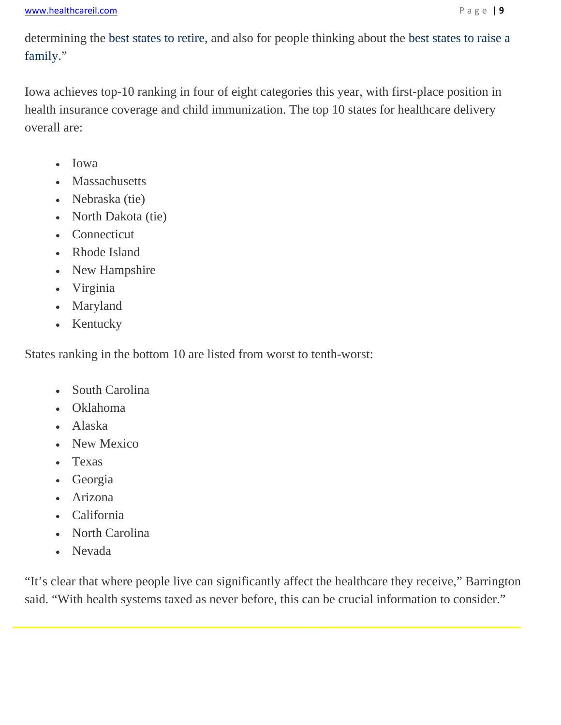determining the best states to retire, and also for people thinking about the best states to raise a family."

Iowa achieves top-10 ranking in four of eight categories this year, with first-place position in health insurance coverage and child immunization. The top 10 states for healthcare delivery overall are:

- Iowa
- Massachusetts
- Nebraska (tie)
- North Dakota (tie)
- Connecticut
- Rhode Island
- New Hampshire
- Virginia
- Maryland
- Kentucky

States ranking in the bottom 10 are listed from worst to tenth-worst:

- South Carolina
- Oklahoma
- Alaska
- New Mexico
- Texas
- Georgia
- Arizona
- California
- North Carolina
- Nevada

e<br>C

"It's clear that where people live can significantly affect the healthcare they receive," Barrington said. "With health systems taxed as never before, this can be crucial information to consider."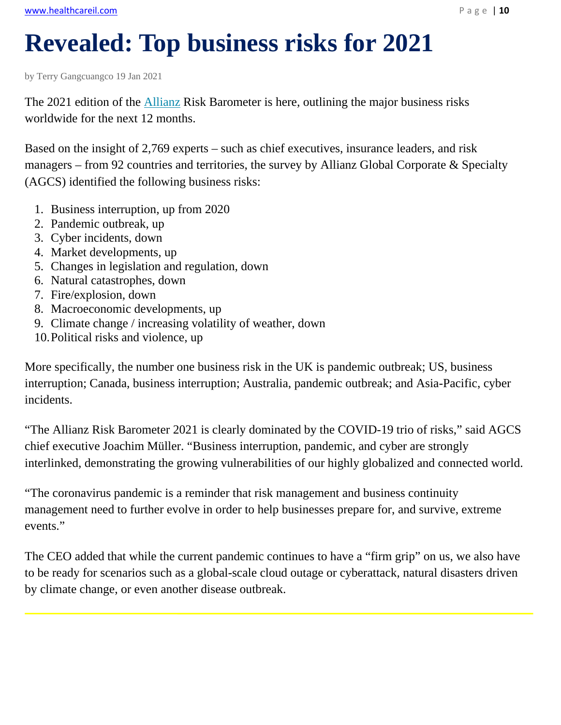# **Revealed: Top business risks for 2021**

by Terry Gangcuangco 19 Jan 2021

The 2021 edition of the Allianz Risk Barometer is here, outlining the major business risks worldwide for the next 12 months.

Based on the insight of 2,769 experts – such as chief executives, insurance leaders, and risk managers – from 92 countries and territories, the survey by Allianz Global Corporate & Specialty (AGCS) identified the following business risks:

- 1. Business interruption, up from 2020
- 2. Pandemic outbreak, up
- 3. Cyber incidents, down
- 4. Market developments, up
- 5. Changes in legislation and regulation, down
- 6. Natural catastrophes, down
- 7. Fire/explosion, down
- 8. Macroeconomic developments, up
- 9. Climate change / increasing volatility of weather, down
- 10.Political risks and violence, up

More specifically, the number one business risk in the UK is pandemic outbreak; US, business interruption; Canada, business interruption; Australia, pandemic outbreak; and Asia-Pacific, cyber incidents.

"The Allianz Risk Barometer 2021 is clearly dominated by the COVID-19 trio of risks," said AGCS chief executive Joachim Müller. "Business interruption, pandemic, and cyber are strongly interlinked, demonstrating the growing vulnerabilities of our highly globalized and connected world.

"The coronavirus pandemic is a reminder that risk management and business continuity management need to further evolve in order to help businesses prepare for, and survive, extreme events."

The CEO added that while the current pandemic continues to have a "firm grip" on us, we also have to be ready for scenarios such as a global-scale cloud outage or cyberattack, natural disasters driven by climate change, or even another disease outbreak.